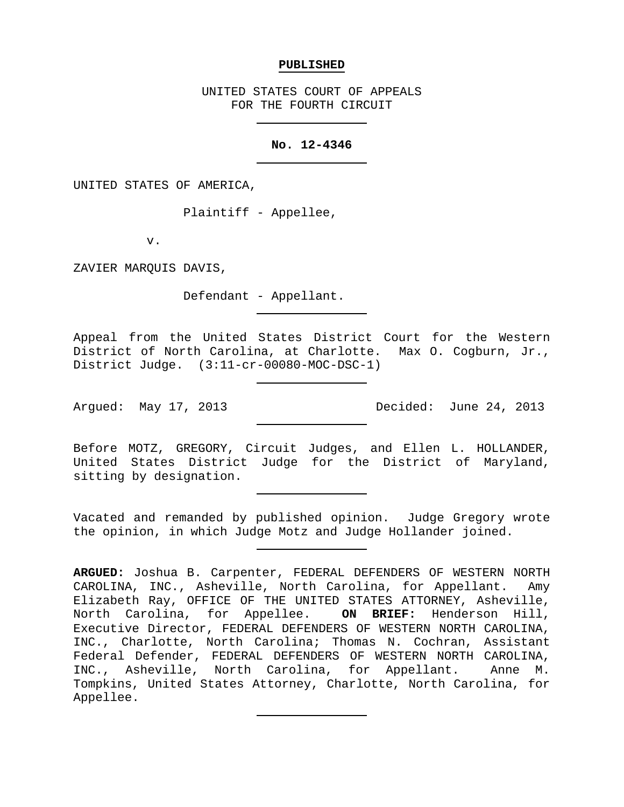#### **PUBLISHED**

UNITED STATES COURT OF APPEALS FOR THE FOURTH CIRCUIT

#### **No. 12-4346**

UNITED STATES OF AMERICA,

Plaintiff - Appellee,

v.

ZAVIER MARQUIS DAVIS,

Defendant - Appellant.

Appeal from the United States District Court for the Western District of North Carolina, at Charlotte. Max O. Cogburn, Jr., District Judge. (3:11-cr-00080-MOC-DSC-1)

Argued: May 17, 2013 Decided: June 24, 2013

Before MOTZ, GREGORY, Circuit Judges, and Ellen L. HOLLANDER, United States District Judge for the District of Maryland, sitting by designation.

Vacated and remanded by published opinion. Judge Gregory wrote the opinion, in which Judge Motz and Judge Hollander joined.

**ARGUED:** Joshua B. Carpenter, FEDERAL DEFENDERS OF WESTERN NORTH CAROLINA, INC., Asheville, North Carolina, for Appellant. Amy Elizabeth Ray, OFFICE OF THE UNITED STATES ATTORNEY, Asheville,<br>North Carolina, for Appellee. ON BRIEF: Henderson Hill, North Carolina, for Appellee. Executive Director, FEDERAL DEFENDERS OF WESTERN NORTH CAROLINA, INC., Charlotte, North Carolina; Thomas N. Cochran, Assistant Federal Defender, FEDERAL DEFENDERS OF WESTERN NORTH CAROLINA, INC., Asheville, North Carolina, for Appellant. Anne M. Tompkins, United States Attorney, Charlotte, North Carolina, for Appellee.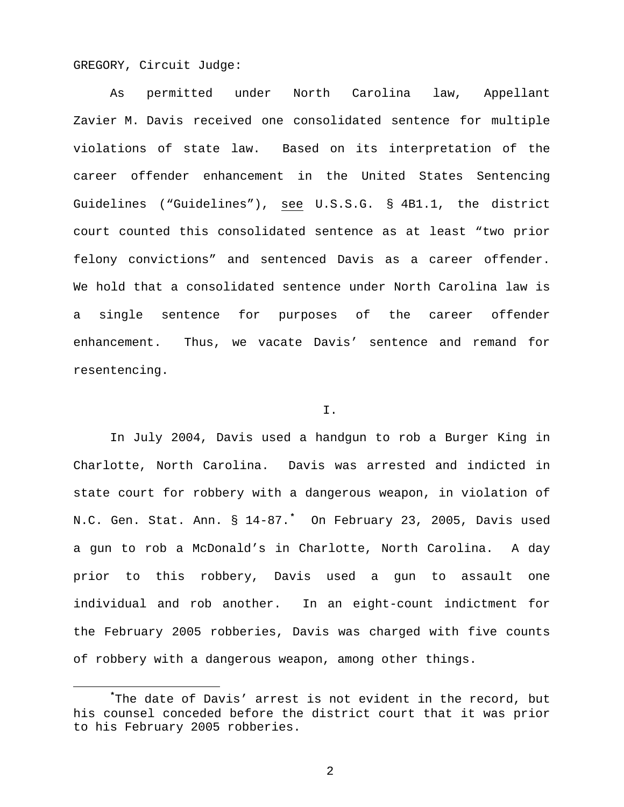GREGORY, Circuit Judge:

As permitted under North Carolina law, Appellant Zavier M. Davis received one consolidated sentence for multiple violations of state law. Based on its interpretation of the career offender enhancement in the United States Sentencing Guidelines ("Guidelines"), see U.S.S.G. § 4B1.1, the district court counted this consolidated sentence as at least "two prior felony convictions" and sentenced Davis as a career offender. We hold that a consolidated sentence under North Carolina law is a single sentence for purposes of the career offender enhancement. Thus, we vacate Davis' sentence and remand for resentencing.

# I.

In July 2004, Davis used a handgun to rob a Burger King in Charlotte, North Carolina. Davis was arrested and indicted in state court for robbery with a dangerous weapon, in violation of N.C. Gen. Stat. Ann. § 14-87.**[\\*](#page-1-0)** On February 23, 2005, Davis used a gun to rob a McDonald's in Charlotte, North Carolina. A day prior to this robbery, Davis used a gun to assault one individual and rob another. In an eight-count indictment for the February 2005 robberies, Davis was charged with five counts of robbery with a dangerous weapon, among other things.

<span id="page-1-0"></span>**\*** The date of Davis' arrest is not evident in the record, but his counsel conceded before the district court that it was prior to his February 2005 robberies.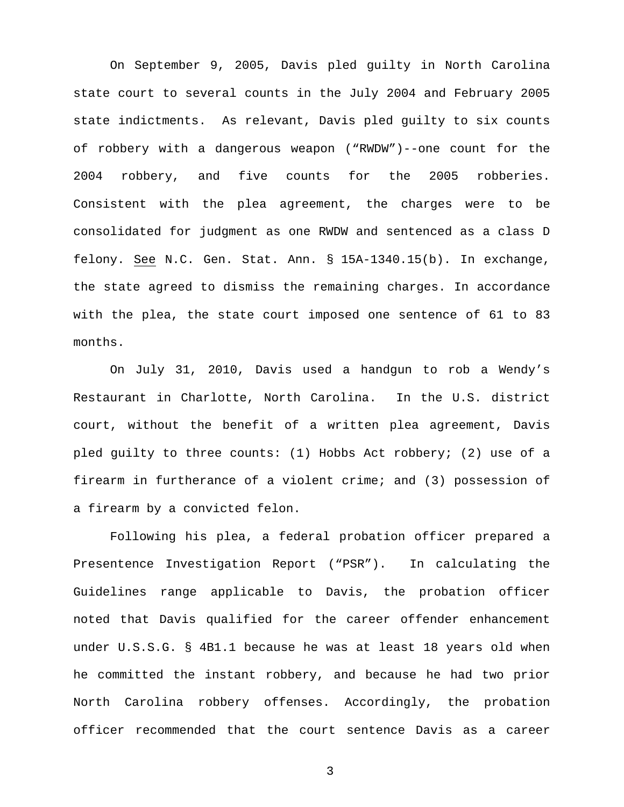On September 9, 2005, Davis pled guilty in North Carolina state court to several counts in the July 2004 and February 2005 state indictments. As relevant, Davis pled guilty to six counts of robbery with a dangerous weapon ("RWDW")--one count for the 2004 robbery, and five counts for the 2005 robberies. Consistent with the plea agreement, the charges were to be consolidated for judgment as one RWDW and sentenced as a class D felony. See N.C. Gen. Stat. Ann. § 15A-1340.15(b). In exchange, the state agreed to dismiss the remaining charges. In accordance with the plea, the state court imposed one sentence of 61 to 83 months.

On July 31, 2010, Davis used a handgun to rob a Wendy's Restaurant in Charlotte, North Carolina. In the U.S. district court, without the benefit of a written plea agreement, Davis pled guilty to three counts: (1) Hobbs Act robbery; (2) use of a firearm in furtherance of a violent crime; and (3) possession of a firearm by a convicted felon.

Following his plea, a federal probation officer prepared a Presentence Investigation Report ("PSR"). In calculating the Guidelines range applicable to Davis, the probation officer noted that Davis qualified for the career offender enhancement under U.S.S.G. § 4B1.1 because he was at least 18 years old when he committed the instant robbery, and because he had two prior North Carolina robbery offenses. Accordingly, the probation officer recommended that the court sentence Davis as a career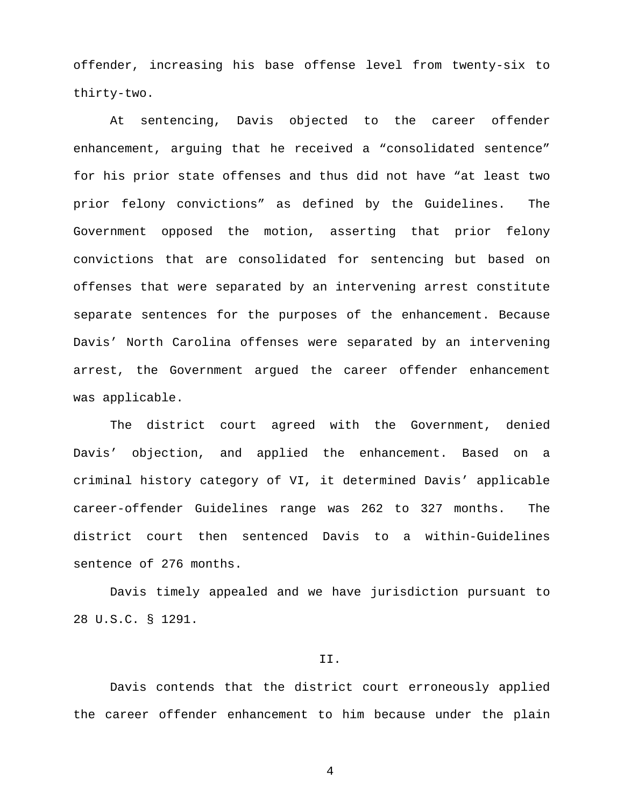offender, increasing his base offense level from twenty-six to thirty-two.

At sentencing, Davis objected to the career offender enhancement, arguing that he received a "consolidated sentence" for his prior state offenses and thus did not have "at least two prior felony convictions" as defined by the Guidelines. The Government opposed the motion, asserting that prior felony convictions that are consolidated for sentencing but based on offenses that were separated by an intervening arrest constitute separate sentences for the purposes of the enhancement. Because Davis' North Carolina offenses were separated by an intervening arrest, the Government argued the career offender enhancement was applicable.

The district court agreed with the Government, denied Davis' objection, and applied the enhancement. Based on a criminal history category of VI, it determined Davis' applicable career-offender Guidelines range was 262 to 327 months. The district court then sentenced Davis to a within-Guidelines sentence of 276 months.

Davis timely appealed and we have jurisdiction pursuant to 28 U.S.C. § 1291.

## II.

Davis contends that the district court erroneously applied the career offender enhancement to him because under the plain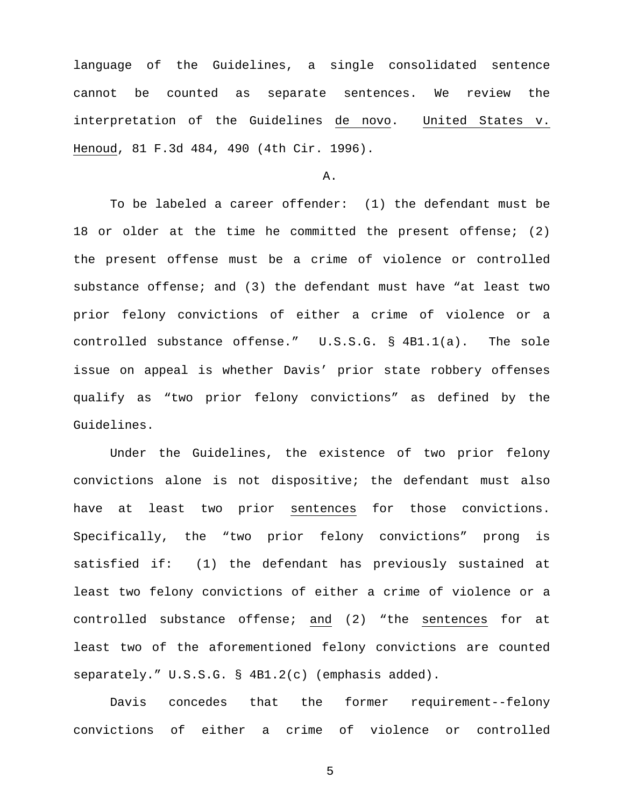language of the Guidelines, a single consolidated sentence cannot be counted as separate sentences. We review the interpretation of the Guidelines de novo. United States v. Henoud, 81 F.3d 484, 490 (4th Cir. 1996).

## A.

To be labeled a career offender: (1) the defendant must be 18 or older at the time he committed the present offense; (2) the present offense must be a crime of violence or controlled substance offense; and (3) the defendant must have "at least two prior felony convictions of either a crime of violence or a controlled substance offense." U.S.S.G. § 4B1.1(a). The sole issue on appeal is whether Davis' prior state robbery offenses qualify as "two prior felony convictions" as defined by the Guidelines.

Under the Guidelines, the existence of two prior felony convictions alone is not dispositive; the defendant must also have at least two prior sentences for those convictions. Specifically, the "two prior felony convictions" prong is satisfied if: (1) the defendant has previously sustained at least two felony convictions of either a crime of violence or a controlled substance offense; and (2) "the sentences for at least two of the aforementioned felony convictions are counted separately." U.S.S.G. § 4B1.2(c) (emphasis added).

Davis concedes that the former requirement--felony convictions of either a crime of violence or controlled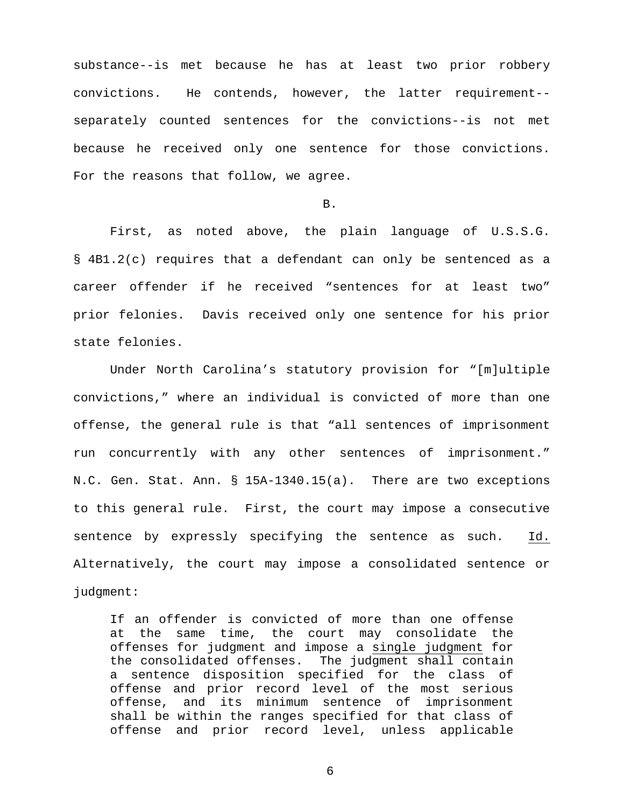substance--is met because he has at least two prior robbery convictions. He contends, however, the latter requirement- separately counted sentences for the convictions--is not met because he received only one sentence for those convictions. For the reasons that follow, we agree.

#### B.

First, as noted above, the plain language of U.S.S.G. § 4B1.2(c) requires that a defendant can only be sentenced as a career offender if he received "sentences for at least two" prior felonies. Davis received only one sentence for his prior state felonies.

Under North Carolina's statutory provision for "[m]ultiple convictions," where an individual is convicted of more than one offense, the general rule is that "all sentences of imprisonment run concurrently with any other sentences of imprisonment." N.C. Gen. Stat. Ann. § 15A-1340.15(a). There are two exceptions to this general rule. First, the court may impose a consecutive sentence by expressly specifying the sentence as such. Id. Alternatively, the court may impose a consolidated sentence or judgment:

If an offender is convicted of more than one offense at the same time, the court may consolidate the offenses for judgment and impose a single judgment for the consolidated offenses. The judgment shall contain a sentence disposition specified for the class of offense and prior record level of the most serious offense, and its minimum sentence of imprisonment shall be within the ranges specified for that class of offense and prior record level, unless applicable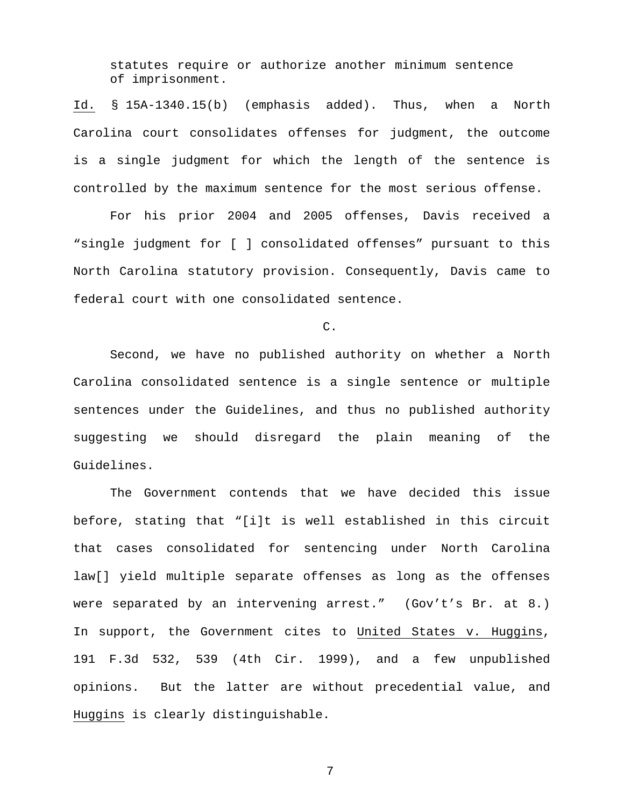statutes require or authorize another minimum sentence of imprisonment.

Id. § 15A-1340.15(b) (emphasis added). Thus, when a North Carolina court consolidates offenses for judgment, the outcome is a single judgment for which the length of the sentence is controlled by the maximum sentence for the most serious offense.

For his prior 2004 and 2005 offenses, Davis received a "single judgment for [ ] consolidated offenses" pursuant to this North Carolina statutory provision. Consequently, Davis came to federal court with one consolidated sentence.

C.

Second, we have no published authority on whether a North Carolina consolidated sentence is a single sentence or multiple sentences under the Guidelines, and thus no published authority suggesting we should disregard the plain meaning of the Guidelines.

The Government contends that we have decided this issue before, stating that "[i]t is well established in this circuit that cases consolidated for sentencing under North Carolina law[] yield multiple separate offenses as long as the offenses were separated by an intervening arrest." (Gov't's Br. at 8.) In support, the Government cites to United States v. Huggins, 191 F.3d 532, 539 (4th Cir. 1999), and a few unpublished opinions. But the latter are without precedential value, and Huggins is clearly distinguishable.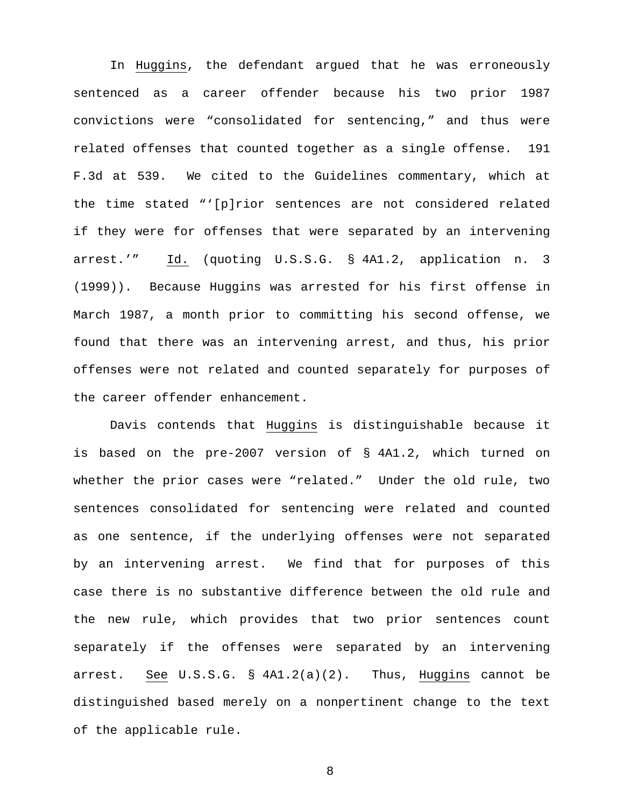In Huggins, the defendant argued that he was erroneously sentenced as a career offender because his two prior 1987 convictions were "consolidated for sentencing," and thus were related offenses that counted together as a single offense. 191 F.3d at 539. We cited to the Guidelines commentary, which at the time stated "'[p]rior sentences are not considered related if they were for offenses that were separated by an intervening arrest.'" Id. (quoting U.S.S.G. § 4A1.2, application n. 3 (1999)). Because Huggins was arrested for his first offense in March 1987, a month prior to committing his second offense, we found that there was an intervening arrest, and thus, his prior offenses were not related and counted separately for purposes of the career offender enhancement.

Davis contends that Huggins is distinguishable because it is based on the pre-2007 version of § 4A1.2, which turned on whether the prior cases were "related." Under the old rule, two sentences consolidated for sentencing were related and counted as one sentence, if the underlying offenses were not separated by an intervening arrest. We find that for purposes of this case there is no substantive difference between the old rule and the new rule, which provides that two prior sentences count separately if the offenses were separated by an intervening arrest. See U.S.S.G. § 4A1.2(a)(2). Thus, Huggins cannot be distinguished based merely on a nonpertinent change to the text of the applicable rule.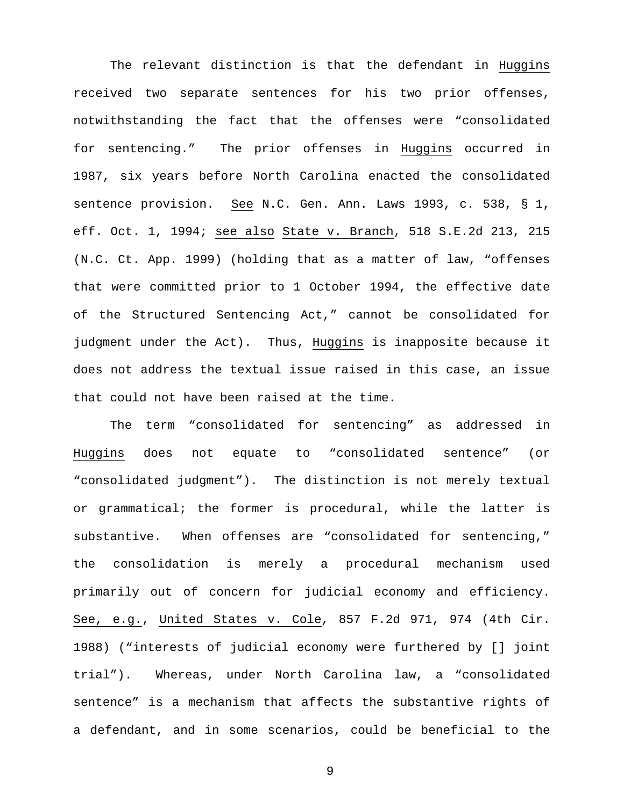The relevant distinction is that the defendant in Huggins received two separate sentences for his two prior offenses, notwithstanding the fact that the offenses were "consolidated for sentencing." The prior offenses in Huggins occurred in 1987, six years before North Carolina enacted the consolidated sentence provision. See N.C. Gen. Ann. Laws 1993, c. 538, § 1, eff. Oct. 1, 1994; see also State v. Branch, 518 S.E.2d 213, 215 (N.C. Ct. App. 1999) (holding that as a matter of law, "offenses that were committed prior to 1 October 1994, the effective date of the Structured Sentencing Act," cannot be consolidated for judgment under the Act). Thus, Huggins is inapposite because it does not address the textual issue raised in this case, an issue that could not have been raised at the time.

The term "consolidated for sentencing" as addressed in Huggins does not equate to "consolidated sentence" (or "consolidated judgment"). The distinction is not merely textual or grammatical; the former is procedural, while the latter is substantive. When offenses are "consolidated for sentencing," the consolidation is merely a procedural mechanism used primarily out of concern for judicial economy and efficiency. See, e.g., United States v. Cole, 857 F.2d 971, 974 (4th Cir. 1988) ("interests of judicial economy were furthered by [] joint trial"). Whereas, under North Carolina law, a "consolidated sentence" is a mechanism that affects the substantive rights of a defendant, and in some scenarios, could be beneficial to the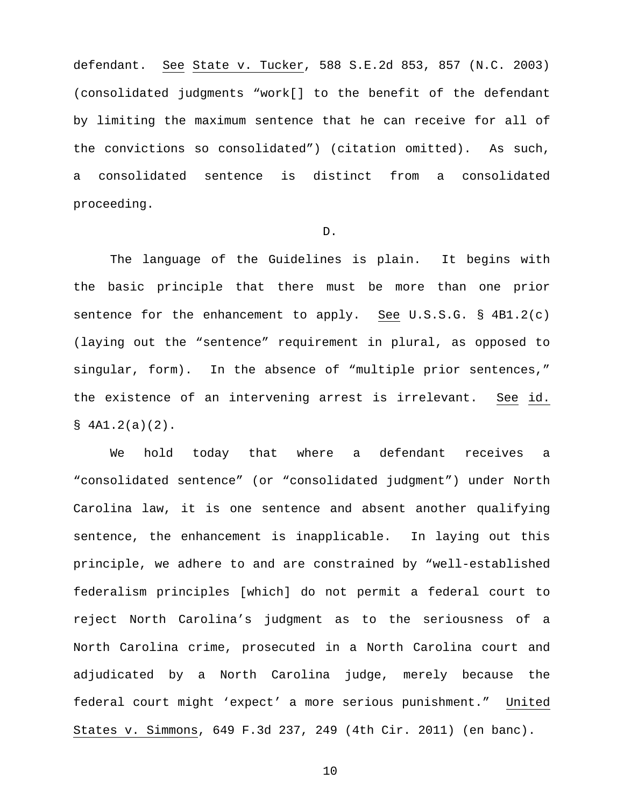defendant. See State v. Tucker, 588 S.E.2d 853, 857 (N.C. 2003) (consolidated judgments "work[] to the benefit of the defendant by limiting the maximum sentence that he can receive for all of the convictions so consolidated") (citation omitted). As such, a consolidated sentence is distinct from a consolidated proceeding.

## D.

The language of the Guidelines is plain. It begins with the basic principle that there must be more than one prior sentence for the enhancement to apply. See U.S.S.G.  $\S$  4B1.2(c) (laying out the "sentence" requirement in plural, as opposed to singular, form). In the absence of "multiple prior sentences," the existence of an intervening arrest is irrelevant. See id.  $$ 4A1.2(a)(2).$ 

We hold today that where a defendant receives a "consolidated sentence" (or "consolidated judgment") under North Carolina law, it is one sentence and absent another qualifying sentence, the enhancement is inapplicable. In laying out this principle, we adhere to and are constrained by "well-established federalism principles [which] do not permit a federal court to reject North Carolina's judgment as to the seriousness of a North Carolina crime, prosecuted in a North Carolina court and adjudicated by a North Carolina judge, merely because the federal court might 'expect' a more serious punishment." United States v. Simmons, 649 F.3d 237, 249 (4th Cir. 2011) (en banc).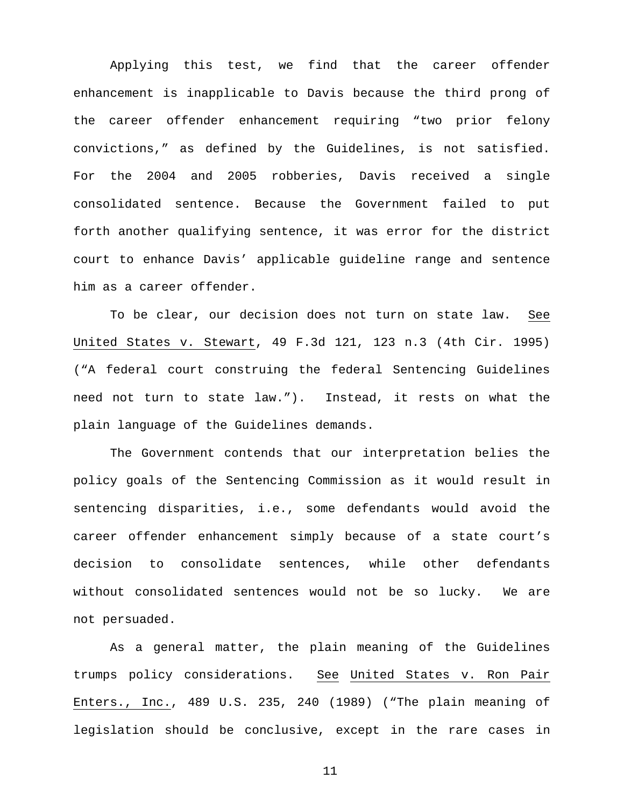Applying this test, we find that the career offender enhancement is inapplicable to Davis because the third prong of the career offender enhancement requiring "two prior felony convictions," as defined by the Guidelines, is not satisfied. For the 2004 and 2005 robberies, Davis received a single consolidated sentence. Because the Government failed to put forth another qualifying sentence, it was error for the district court to enhance Davis' applicable guideline range and sentence him as a career offender.

To be clear, our decision does not turn on state law. See United States v. Stewart, 49 F.3d 121, 123 n.3 (4th Cir. 1995) ("A federal court construing the federal Sentencing Guidelines need not turn to state law."). Instead, it rests on what the plain language of the Guidelines demands.

The Government contends that our interpretation belies the policy goals of the Sentencing Commission as it would result in sentencing disparities, i.e., some defendants would avoid the career offender enhancement simply because of a state court's decision to consolidate sentences, while other defendants without consolidated sentences would not be so lucky. We are not persuaded.

As a general matter, the plain meaning of the Guidelines trumps policy considerations. See United States v. Ron Pair Enters., Inc., 489 U.S. 235, 240 (1989) ("The plain meaning of legislation should be conclusive, except in the rare cases in